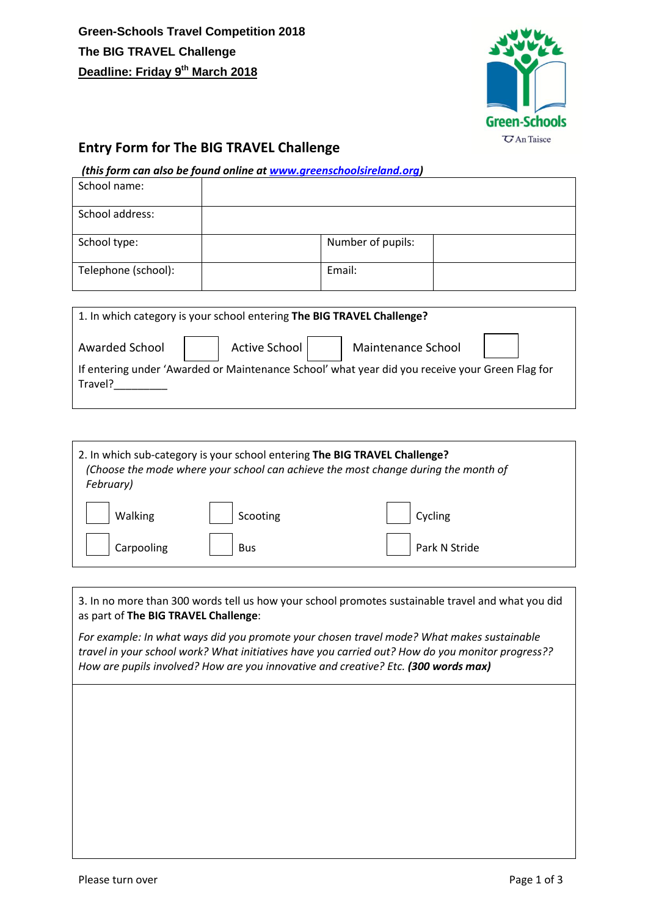

## **Entry Form for The BIG TRAVEL Challenge**

## *(this form can also be found online a[t www.greenschoolsireland.org\)](http://www.greenschoolsireland.org/)*

| School name:        |                   |  |
|---------------------|-------------------|--|
| School address:     |                   |  |
| School type:        | Number of pupils: |  |
| Telephone (school): | Email:            |  |

| 1. In which category is your school entering The BIG TRAVEL Challenge?                                     |  |               |  |                    |  |
|------------------------------------------------------------------------------------------------------------|--|---------------|--|--------------------|--|
| Awarded School                                                                                             |  | Active School |  | Maintenance School |  |
| If entering under 'Awarded or Maintenance School' what year did you receive your Green Flag for<br>Travel? |  |               |  |                    |  |

| 2. In which sub-category is your school entering The BIG TRAVEL Challenge?<br>(Choose the mode where your school can achieve the most change during the month of<br>February) |            |               |  |  |
|-------------------------------------------------------------------------------------------------------------------------------------------------------------------------------|------------|---------------|--|--|
| Walking                                                                                                                                                                       | Scooting   | Cycling       |  |  |
| Carpooling                                                                                                                                                                    | <b>Bus</b> | Park N Stride |  |  |

3. In no more than 300 words tell us how your school promotes sustainable travel and what you did as part of **The BIG TRAVEL Challenge**:

*For example: In what ways did you promote your chosen travel mode? What makes sustainable travel in your school work? What initiatives have you carried out? How do you monitor progress?? How are pupils involved? How are you innovative and creative? Etc. (300 words max)*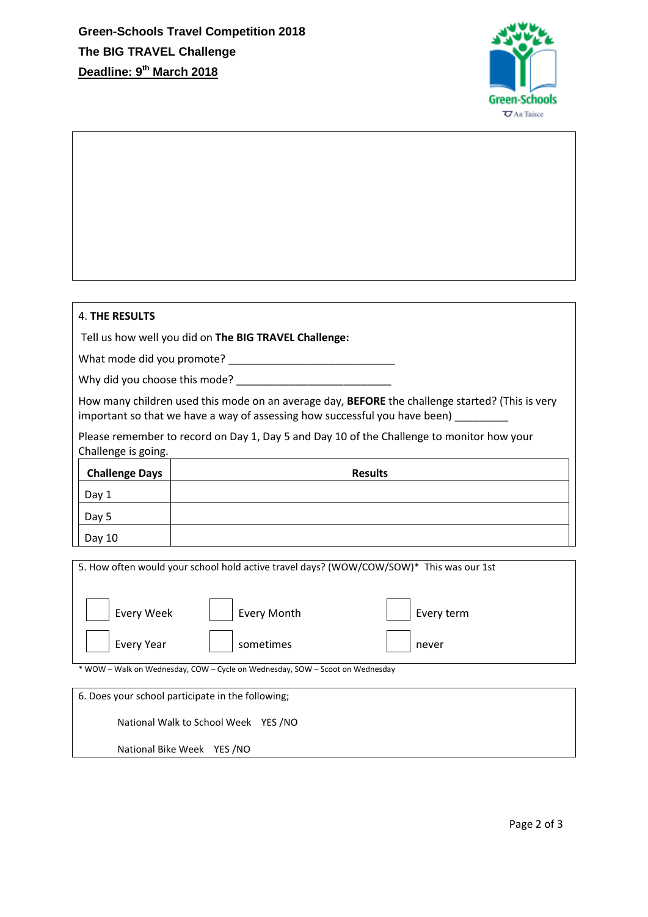

| <b>4. THE RESULTS</b>                                                                                                                                                                         |                                                                                           |  |  |  |
|-----------------------------------------------------------------------------------------------------------------------------------------------------------------------------------------------|-------------------------------------------------------------------------------------------|--|--|--|
|                                                                                                                                                                                               | Tell us how well you did on The BIG TRAVEL Challenge:                                     |  |  |  |
|                                                                                                                                                                                               |                                                                                           |  |  |  |
|                                                                                                                                                                                               |                                                                                           |  |  |  |
| How many children used this mode on an average day, <b>BEFORE</b> the challenge started? (This is very<br>important so that we have a way of assessing how successful you have been) ________ |                                                                                           |  |  |  |
| Challenge is going.                                                                                                                                                                           | Please remember to record on Day 1, Day 5 and Day 10 of the Challenge to monitor how your |  |  |  |
| <b>Challenge Days</b>                                                                                                                                                                         | <b>Results</b>                                                                            |  |  |  |
| Day 1                                                                                                                                                                                         |                                                                                           |  |  |  |
| Day 5                                                                                                                                                                                         |                                                                                           |  |  |  |
| Day 10                                                                                                                                                                                        |                                                                                           |  |  |  |
|                                                                                                                                                                                               | 5. How often would your school hold active travel days? (WOW/COW/SOW)* This was our 1st   |  |  |  |
|                                                                                                                                                                                               |                                                                                           |  |  |  |
| <b>Every Week</b>                                                                                                                                                                             | <b>Every Month</b><br>Every term                                                          |  |  |  |
| <b>Every Year</b>                                                                                                                                                                             | sometimes<br>never                                                                        |  |  |  |
|                                                                                                                                                                                               | * WOW - Walk on Wednesday, COW - Cycle on Wednesday, SOW - Scoot on Wednesday             |  |  |  |
|                                                                                                                                                                                               | 6. Does your school participate in the following;                                         |  |  |  |
| National Walk to School Week YES /NO                                                                                                                                                          |                                                                                           |  |  |  |
| National Bike Week YES / NO                                                                                                                                                                   |                                                                                           |  |  |  |